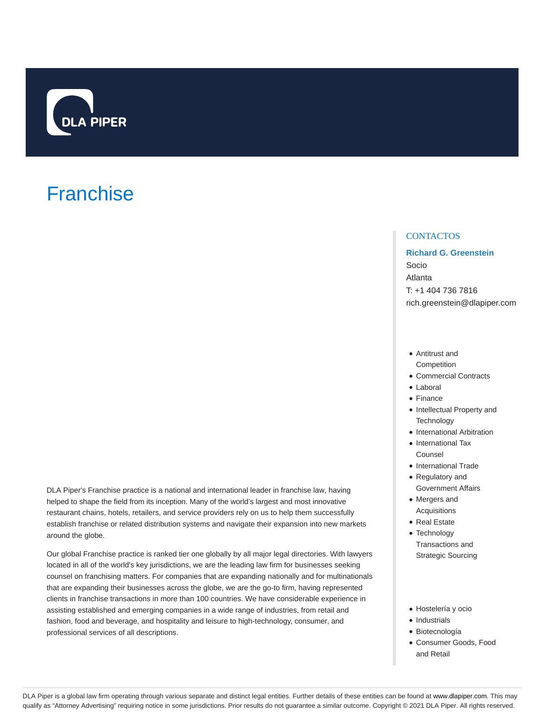

# **Franchise**

around the globe.

# **CONTACTOS**

**Richard G. Greenstein** Socio Atlanta T: +1 404 736 7816 rich.greenstein@dlapiper.com

- Antitrust and **Competition**
- Commercial Contracts
- Laboral
- Finance
- Intellectual Property and **Technology**
- International Arbitration
- International Tax Counsel
- International Trade
- Regulatory and Government Affairs
- Mergers and Acquisitions
- Real Estate
- Technology Transactions and Strategic Sourcing
- Our global Franchise practice is ranked tier one globally by all major legal directories. With lawyers located in all of the world's key jurisdictions, we are the leading law firm for businesses seeking counsel on franchising matters. For companies that are expanding nationally and for multinationals that are expanding their businesses across the globe, we are the go-to firm, having represented clients in franchise transactions in more than 100 countries. We have considerable experience in assisting established and emerging companies in a wide range of industries, from retail and fashion, food and beverage, and hospitality and leisure to high-technology, consumer, and professional services of all descriptions.

DLA Piper's Franchise practice is a national and international leader in franchise law, having helped to shape the field from its inception. Many of the world's largest and most innovative restaurant chains, hotels, retailers, and service providers rely on us to help them successfully establish franchise or related distribution systems and navigate their expansion into new markets

- Hostelería y ocio
- $\bullet$  Industrials
- Biotecnología
- Consumer Goods, Food and Retail

DLA Piper is a global law firm operating through various separate and distinct legal entities. Further details of these entities can be found at www.dlapiper.com. This may qualify as "Attorney Advertising" requiring notice in some jurisdictions. Prior results do not guarantee a similar outcome. Copyright © 2021 DLA Piper. All rights reserved.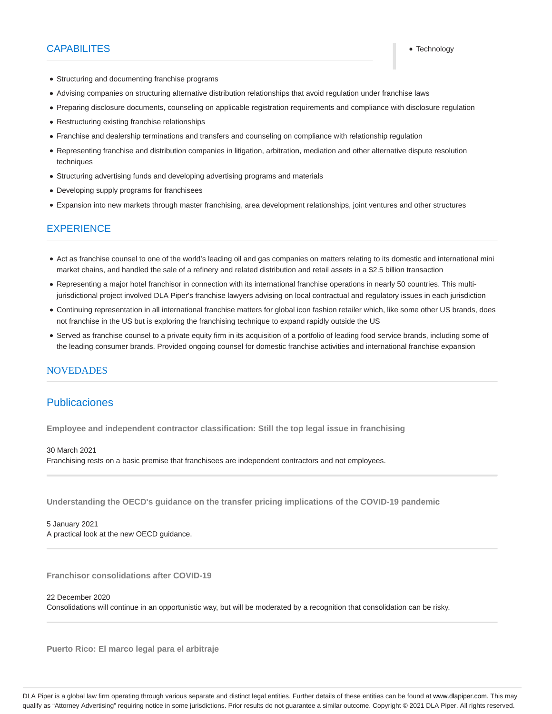## CAPABILITES **Technology**

- Structuring and documenting franchise programs
- Advising companies on structuring alternative distribution relationships that avoid regulation under franchise laws
- Preparing disclosure documents, counseling on applicable registration requirements and compliance with disclosure regulation
- Restructuring existing franchise relationships
- Franchise and dealership terminations and transfers and counseling on compliance with relationship regulation
- Representing franchise and distribution companies in litigation, arbitration, mediation and other alternative dispute resolution techniques
- Structuring advertising funds and developing advertising programs and materials
- Developing supply programs for franchisees
- Expansion into new markets through master franchising, area development relationships, joint ventures and other structures

## EXPERIENCE

- Act as franchise counsel to one of the world's leading oil and gas companies on matters relating to its domestic and international mini market chains, and handled the sale of a refinery and related distribution and retail assets in a \$2.5 billion transaction
- Representing a major hotel franchisor in connection with its international franchise operations in nearly 50 countries. This multijurisdictional project involved DLA Piper's franchise lawyers advising on local contractual and regulatory issues in each jurisdiction
- Continuing representation in all international franchise matters for global icon fashion retailer which, like some other US brands, does not franchise in the US but is exploring the franchising technique to expand rapidly outside the US
- Served as franchise counsel to a private equity firm in its acquisition of a portfolio of leading food service brands, including some of the leading consumer brands. Provided ongoing counsel for domestic franchise activities and international franchise expansion

#### **NOVEDADES**

## Publicaciones

**Employee and independent contractor classification: Still the top legal issue in franchising**

#### 30 March 2021

Franchising rests on a basic premise that franchisees are independent contractors and not employees.

**Understanding the OECD's guidance on the transfer pricing implications of the COVID-19 pandemic**

5 January 2021 A practical look at the new OECD guidance.

**Franchisor consolidations after COVID-19**

22 December 2020

Consolidations will continue in an opportunistic way, but will be moderated by a recognition that consolidation can be risky.

**Puerto Rico: El marco legal para el arbitraje**

DLA Piper is a global law firm operating through various separate and distinct legal entities. Further details of these entities can be found at www.dlapiper.com. This may qualify as "Attorney Advertising" requiring notice in some jurisdictions. Prior results do not guarantee a similar outcome. Copyright © 2021 DLA Piper. All rights reserved.